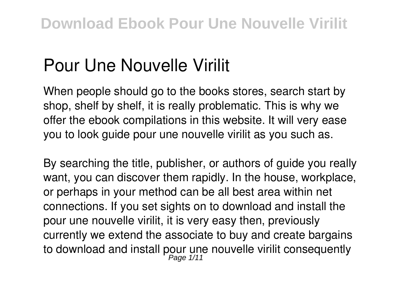# **Pour Une Nouvelle Virilit**

When people should go to the books stores, search start by shop, shelf by shelf, it is really problematic. This is why we offer the ebook compilations in this website. It will very ease you to look guide **pour une nouvelle virilit** as you such as.

By searching the title, publisher, or authors of guide you really want, you can discover them rapidly. In the house, workplace, or perhaps in your method can be all best area within net connections. If you set sights on to download and install the pour une nouvelle virilit, it is very easy then, previously currently we extend the associate to buy and create bargains to download and install pour une nouvelle virilit consequently<br>Page 1/11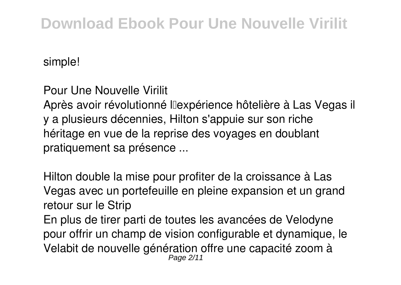simple!

**Pour Une Nouvelle Virilit**

Après avoir révolutionné l'expérience hôtelière à Las Vegas il y a plusieurs décennies, Hilton s'appuie sur son riche héritage en vue de la reprise des voyages en doublant pratiquement sa présence ...

**Hilton double la mise pour profiter de la croissance à Las Vegas avec un portefeuille en pleine expansion et un grand retour sur le Strip** En plus de tirer parti de toutes les avancées de Velodyne

pour offrir un champ de vision configurable et dynamique, le Velabit de nouvelle génération offre une capacité zoom à Page 2/11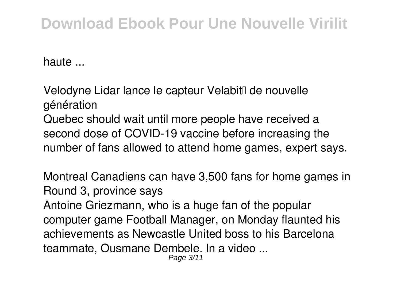haute ...

Velodyne Lidar lance le capteur VelabitⅡ de nouvelle **génération** Quebec should wait until more people have received a second dose of COVID-19 vaccine before increasing the number of fans allowed to attend home games, expert says.

**Montreal Canadiens can have 3,500 fans for home games in Round 3, province says** Antoine Griezmann, who is a huge fan of the popular computer game Football Manager, on Monday flaunted his achievements as Newcastle United boss to his Barcelona teammate, Ousmane Dembele. In a video ... Page 3/11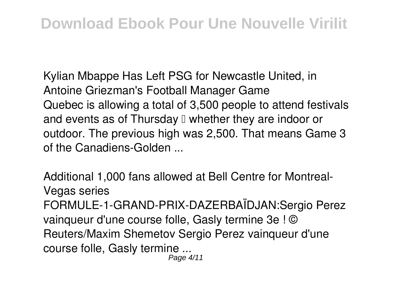**Kylian Mbappe Has Left PSG for Newcastle United, in Antoine Griezman's Football Manager Game** Quebec is allowing a total of 3,500 people to attend festivals and events as of Thursday  $\Box$  whether they are indoor or outdoor. The previous high was 2,500. That means Game 3 of the Canadiens-Golden ...

**Additional 1,000 fans allowed at Bell Centre for Montreal-Vegas series** FORMULE-1-GRAND-PRIX-DAZERBAÏDJAN:Sergio Perez vainqueur d'une course folle, Gasly termine 3e ! © Reuters/Maxim Shemetov Sergio Perez vainqueur d'une course folle, Gasly termine ... Page 4/11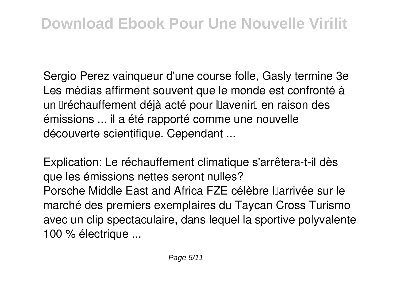**Sergio Perez vainqueur d'une course folle, Gasly termine 3e** Les médias affirment souvent que le monde est confronté à un **Iréchauffement déjà acté pour l'Iavenir** en raison des émissions ... il a été rapporté comme une nouvelle découverte scientifique. Cependant ...

**Explication: Le réchauffement climatique s'arrêtera-t-il dès que les émissions nettes seront nulles?** Porsche Middle East and Africa FZE célèbre l'arrivée sur le marché des premiers exemplaires du Taycan Cross Turismo avec un clip spectaculaire, dans lequel la sportive polyvalente 100 % électrique ...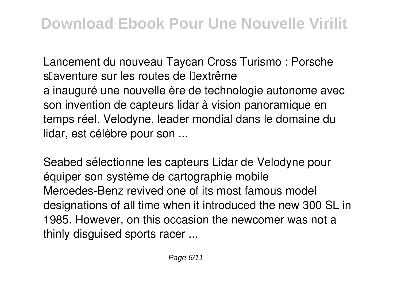**Lancement du nouveau Taycan Cross Turismo : Porsche s'aventure sur les routes de l'extrême** a inauguré une nouvelle ère de technologie autonome avec son invention de capteurs lidar à vision panoramique en temps réel. Velodyne, leader mondial dans le domaine du lidar, est célèbre pour son ...

**Seabed sélectionne les capteurs Lidar de Velodyne pour équiper son système de cartographie mobile** Mercedes-Benz revived one of its most famous model designations of all time when it introduced the new 300 SL in 1985. However, on this occasion the newcomer was not a thinly disguised sports racer ...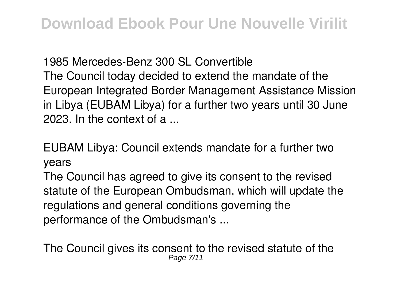**1985 Mercedes-Benz 300 SL Convertible** The Council today decided to extend the mandate of the European Integrated Border Management Assistance Mission in Libya (EUBAM Libya) for a further two years until 30 June 2023. In the context of a

**EUBAM Libya: Council extends mandate for a further two years**

The Council has agreed to give its consent to the revised statute of the European Ombudsman, which will update the regulations and general conditions governing the performance of the Ombudsman's ...

**The Council gives its consent to the revised statute of the** Page  $7/1$ <sup>-</sup>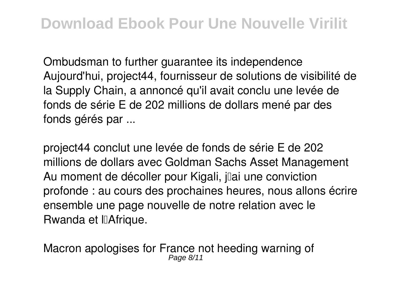**Ombudsman to further guarantee its independence** Aujourd'hui, project44, fournisseur de solutions de visibilité de la Supply Chain, a annoncé qu'il avait conclu une levée de fonds de série E de 202 millions de dollars mené par des fonds gérés par ...

**project44 conclut une levée de fonds de série E de 202 millions de dollars avec Goldman Sachs Asset Management** Au moment de décoller pour Kigali, jai une conviction profonde : au cours des prochaines heures, nous allons écrire ensemble une page nouvelle de notre relation avec le Rwanda et l'Afrique.

**Macron apologises for France not heeding warning of** Page 8/11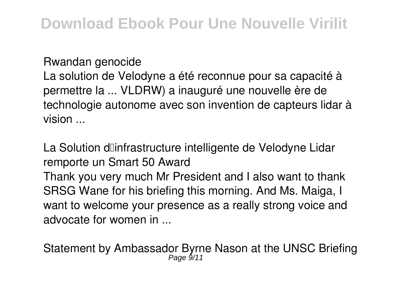**Rwandan genocide**

La solution de Velodyne a été reconnue pour sa capacité à permettre la ... VLDRW) a inauguré une nouvelle ère de technologie autonome avec son invention de capteurs lidar à vision ...

**La Solution d'infrastructure intelligente de Velodyne Lidar remporte un Smart 50 Award**

Thank you very much Mr President and I also want to thank SRSG Wane for his briefing this morning. And Ms. Maiga, I want to welcome your presence as a really strong voice and advocate for women in ...

**Statement by Ambassador Byrne Nason at the UNSC Briefing** Page 9/11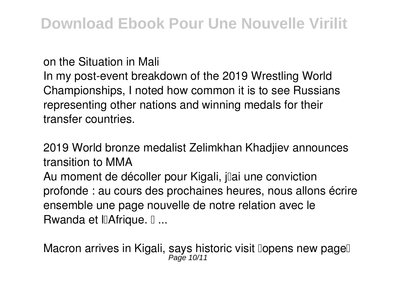**on the Situation in Mali**

In my post-event breakdown of the 2019 Wrestling World Championships, I noted how common it is to see Russians representing other nations and winning medals for their transfer countries.

**2019 World bronze medalist Zelimkhan Khadjiev announces transition to MMA**

Au moment de décoller pour Kigali, jai une conviction profonde : au cours des prochaines heures, nous allons écrire ensemble une page nouvelle de notre relation avec le Rwanda et IIAfrique. I ...

**Macron arrives in Kigali, says historic visit 'opens new page'** Page 10/11